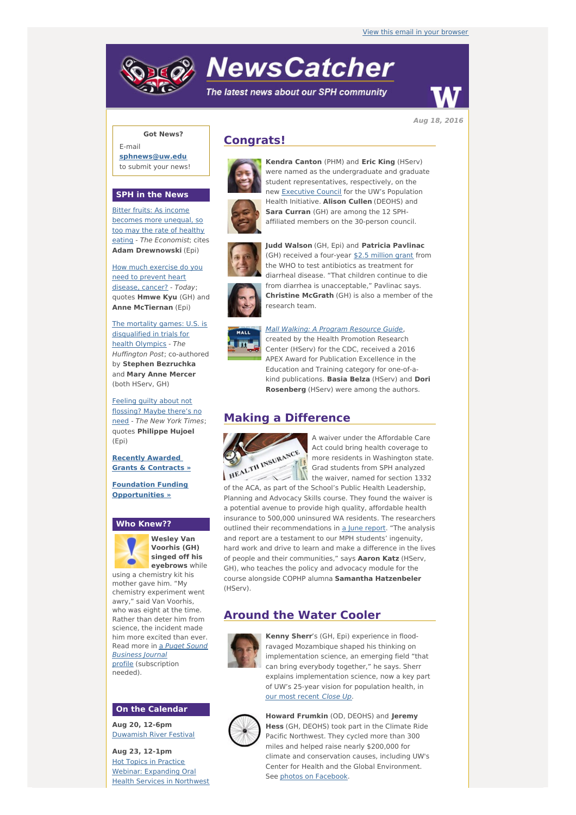# **NewsCatcher**

The latest news about our SPH community



**Aug 18, 2016**

## **Got News?**

E-mail **[sphnews@uw.edu](mailto:sphnews@uw.edu)** to submit your news!

#### **SPH in the News**

Bitter fruits: As income becomes more unequal, so too may the rate of healthy eating - The [Economist](http://engage.washington.edu/site/R?i=pRbEVbKl4VfvYVFZoEdCbw); cites **Adam Drewnowski** (Epi)

How much [exercise](http://engage.washington.edu/site/R?i=Uin3RVeGSColKCauA0QG-g) do you need to prevent heart disease, cancer? - Today; quotes **Hmwe Kyu** (GH) and **Anne McTiernan** (Epi)

The mortality games: U.S. is [disqualified](http://engage.washington.edu/site/R?i=Ka8CmaooHenNF3XTw29O0Q) in trials for health Olympics - The Huffington Post; co-authored by **Stephen Bezruchka** and **Mary Anne Mercer** (both HServ, GH)

Feeling guilty about not [flossing?](http://engage.washington.edu/site/R?i=uQiqPs8qajlhWQ3Z1qTVCA) Maybe there's no need - The New York Times; quotes **Philippe Hujoel** (Epi)

**Recently Awarded Grants & [Contracts](http://engage.washington.edu/site/R?i=542QJJ7StCfjQuKalRp3kQ) »**

**Foundation Funding [Opportunities](http://engage.washington.edu/site/R?i=6fqtrD88JDpxcxtWwGlrjA) »**

#### **Who Knew??**



**Wesley Van Voorhis (GH) singed off his eyebrows** while

using a chemistry kit his mother gave him. "My chemistry experiment went awry," said Van Voorhis, who was eight at the time. Rather than deter him from science, the incident made him more excited than ever. Read more in a Puget Sound Business Journal profile [\(subscription](http://engage.washington.edu/site/R?i=cZlQyApXwGQ4lanwz_zzNw) needed).

### **On the Calendar**

**Aug 20, 12-6pm** [Duwamish](http://engage.washington.edu/site/R?i=dv5UFBOlVaU1uwWV3jY5eA) River Festival

**Aug 23, 12-1pm** Hot Topics in Practice Webinar: [Expanding](http://engage.washington.edu/site/R?i=6UEDsfNvj3AKsy8t1IZU6w) Oral Health Services in Northwest

# **Congrats!**





were named as the undergraduate and graduate student representatives, respectively, on the new **[Executive](http://engage.washington.edu/site/R?i=SkeWu0EAM-icSyF5DF8Rpw) Council** for the UW's Population Health Initiative. **Alison Cullen** (DEOHS) and **Sara Curran** (GH) are among the 12 SPHaffiliated members on the 30-person council.

**Kendra Canton** (PHM) and **Eric King** (HServ)





**Judd Walson** (GH, Epi) and **Patricia Pavlinac** (GH) received a four-year \$2.5 [million](http://engage.washington.edu/site/R?i=VZSZ7EvhM9NPa32poQHhWg) grant from the WHO to test antibiotics as treatment for diarrheal disease. "That children continue to die from diarrhea is unacceptable," Pavlinac says. **Christine McGrath** (GH) is also a member of the research team.



Mall Walking: A Program [Resource](http://engage.washington.edu/site/R?i=zLHlNHwvjBvBTkUimzxLng) Guide,

created by the Health Promotion Research Center (HServ) for the CDC, received a 2016 APEX Award for Publication Excellence in the Education and Training category for one-of-akind publications. **Basia Belza** (HServ) and **Dori Rosenberg** (HServ) were among the authors.

## **Making a Difference**



A waiver under the Affordable Care Act could bring health coverage to more residents in Washington state. Grad students from SPH analyzed the waiver, named for section 1332

of the ACA, as part of the School's Public Health Leadership, Planning and Advocacy Skills course. They found the waiver is a potential avenue to provide high quality, affordable health insurance to 500,000 uninsured WA residents. The researchers outlined their recommendations in a June [report](http://engage.washington.edu/site/R?i=VwXUzK9QkKOE8px6mTFa_g). "The analysis and report are a testament to our MPH students' ingenuity, hard work and drive to learn and make a difference in the lives of people and their communities," says **Aaron Katz** (HServ, GH), who teaches the policy and advocacy module for the course alongside COPHP alumna **Samantha Hatzenbeler** (HServ).

# **Around the Water Cooler**



**Kenny Sherr**'s (GH, Epi) experience in floodravaged Mozambique shaped his thinking on implementation science, an emerging field "that can bring everybody together," he says. Sherr explains implementation science, now a key part of UW's 25-year vision for population health, in our most [recent](http://engage.washington.edu/site/R?i=UDvBKcfid5Mpmf0PxPCOfw) Close Up.



**Howard Frumkin** (OD, DEOHS) and **Jeremy Hess** (GH, DEOHS) took part in the Climate Ride Pacific Northwest. They cycled more than 300 miles and helped raise nearly \$200,000 for climate and conservation causes, including UW's Center for Health and the Global Environment. See photos on [Facebook](http://engage.washington.edu/site/R?i=0OEevLKcw6Xul8Zb2or1cQ).